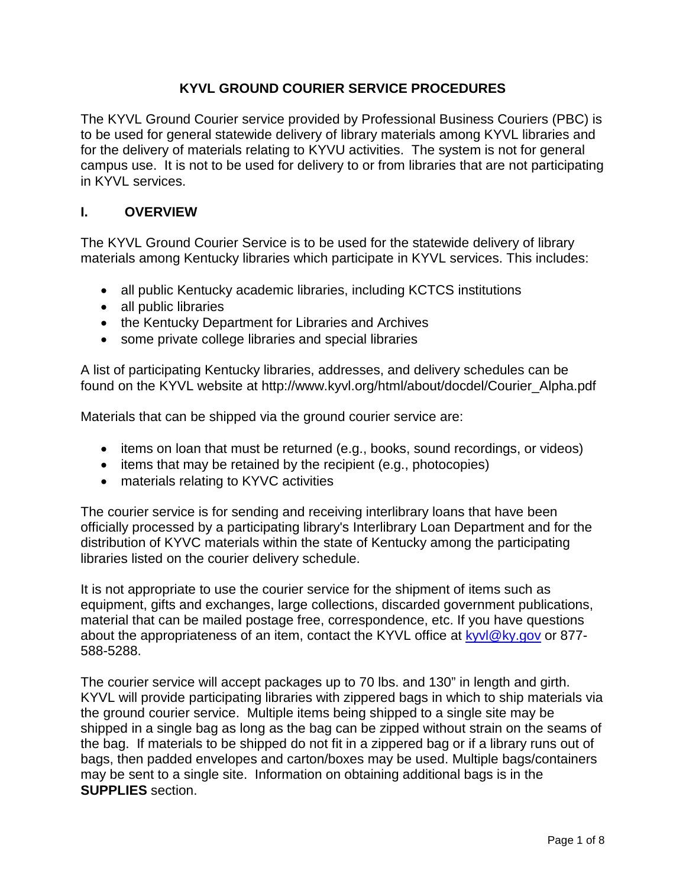### **KYVL GROUND COURIER SERVICE PROCEDURES**

The KYVL Ground Courier service provided by Professional Business Couriers (PBC) is to be used for general statewide delivery of library materials among KYVL libraries and for the delivery of materials relating to KYVU activities. The system is not for general campus use. It is not to be used for delivery to or from libraries that are not participating in KYVL services.

#### **I. OVERVIEW**

The KYVL Ground Courier Service is to be used for the statewide delivery of library materials among Kentucky libraries which participate in KYVL services. This includes:

- all public Kentucky academic libraries, including KCTCS institutions
- all public libraries
- the Kentucky Department for Libraries and Archives
- some private college libraries and special libraries

A list of participating Kentucky libraries, addresses, and delivery schedules can be found on the KYVL website at http://www.kyvl.org/html/about/docdel/Courier\_Alpha.pdf

Materials that can be shipped via the ground courier service are:

- items on loan that must be returned (e.g., books, sound recordings, or videos)
- items that may be retained by the recipient (e.g., photocopies)
- materials relating to KYVC activities

The courier service is for sending and receiving interlibrary loans that have been officially processed by a participating library's Interlibrary Loan Department and for the distribution of KYVC materials within the state of Kentucky among the participating libraries listed on the courier delivery schedule.

It is not appropriate to use the courier service for the shipment of items such as equipment, gifts and exchanges, large collections, discarded government publications, material that can be mailed postage free, correspondence, etc. If you have questions about the appropriateness of an item, contact the KYVL office at [kyvl@ky.gov](mailto:kyvl@ky.gov) or 877-588-5288.

The courier service will accept packages up to 70 lbs. and 130" in length and girth. KYVL will provide participating libraries with zippered bags in which to ship materials via the ground courier service. Multiple items being shipped to a single site may be shipped in a single bag as long as the bag can be zipped without strain on the seams of the bag. If materials to be shipped do not fit in a zippered bag or if a library runs out of bags, then padded envelopes and carton/boxes may be used. Multiple bags/containers may be sent to a single site. Information on obtaining additional bags is in the **SUPPLIES** section.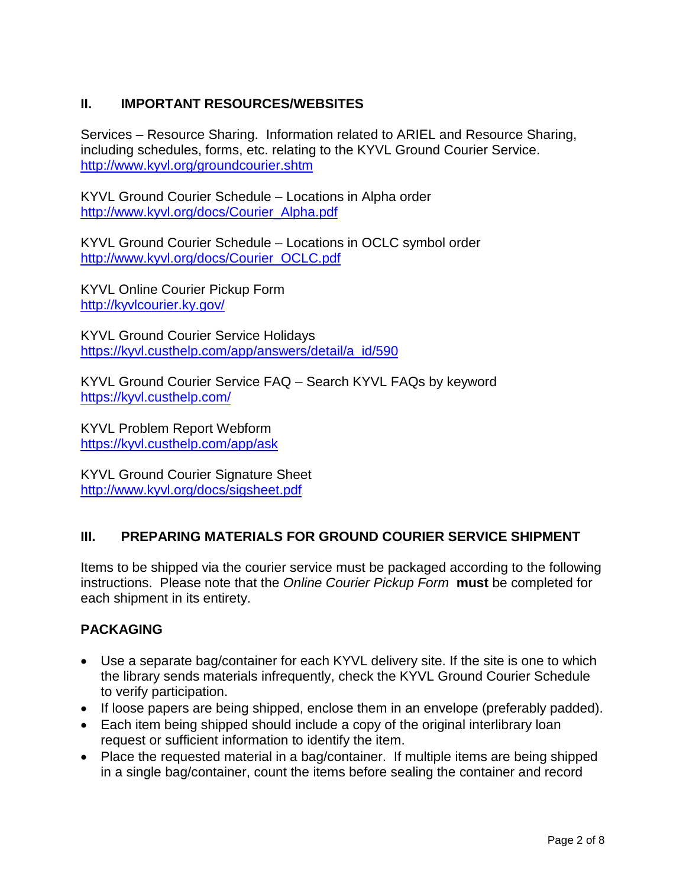# **II. IMPORTANT RESOURCES/WEBSITES**

Services – Resource Sharing. Information related to ARIEL and Resource Sharing, including schedules, forms, etc. relating to the KYVL Ground Courier Service. <http://www.kyvl.org/groundcourier.shtm>

KYVL Ground Courier Schedule – Locations in Alpha order [http://www.kyvl.org/docs/Courier\\_Alpha.pdf](http://www.kyvl.org/docs/Courier_Alpha.pdf)

KYVL Ground Courier Schedule – Locations in OCLC symbol order [http://www.kyvl.org/docs/Courier\\_OCLC.pdf](http://www.kyvl.org/docs/Courier_OCLC.pdf)

KYVL Online Courier Pickup Form <http://kyvlcourier.ky.gov/>

KYVL Ground Courier Service Holidays [https://kyvl.custhelp.com/app/answers/detail/a\\_id/590](https://kyvl.custhelp.com/app/answers/detail/a_id/590)

KYVL Ground Courier Service FAQ – Search KYVL FAQs by keyword <https://kyvl.custhelp.com/>

KYVL Problem Report Webform <https://kyvl.custhelp.com/app/ask>

KYVL Ground Courier Signature Sheet <http://www.kyvl.org/docs/sigsheet.pdf>

# **III. PREPARING MATERIALS FOR GROUND COURIER SERVICE SHIPMENT**

Items to be shipped via the courier service must be packaged according to the following instructions. Please note that the *Online Courier Pickup Form* **must** be completed for each shipment in its entirety.

# **PACKAGING**

- Use a separate bag/container for each KYVL delivery site. If the site is one to which the library sends materials infrequently, check the KYVL Ground Courier Schedule to verify participation.
- If loose papers are being shipped, enclose them in an envelope (preferably padded).
- Each item being shipped should include a copy of the original interlibrary loan request or sufficient information to identify the item.
- Place the requested material in a bag/container. If multiple items are being shipped in a single bag/container, count the items before sealing the container and record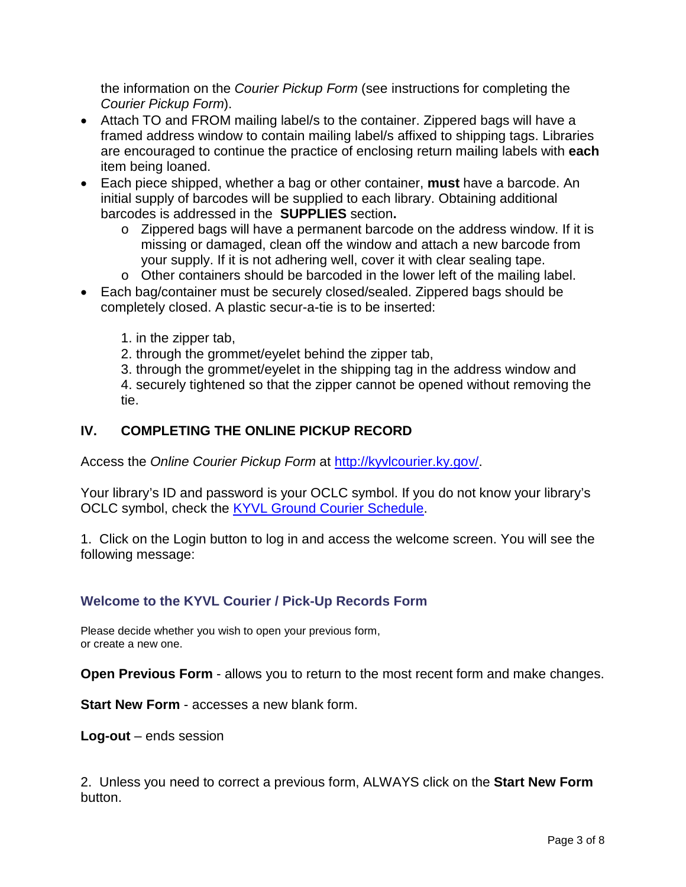the information on the *Courier Pickup Form* (see instructions for completing the *Courier Pickup Form*).

- Attach TO and FROM mailing label/s to the container. Zippered bags will have a framed address window to contain mailing label/s affixed to shipping tags. Libraries are encouraged to continue the practice of enclosing return mailing labels with **each**  item being loaned.
- Each piece shipped, whether a bag or other container, **must** have a barcode. An initial supply of barcodes will be supplied to each library. Obtaining additional barcodes is addressed in the **SUPPLIES** section**.**
	- o Zippered bags will have a permanent barcode on the address window. If it is missing or damaged, clean off the window and attach a new barcode from your supply. If it is not adhering well, cover it with clear sealing tape.
	- o Other containers should be barcoded in the lower left of the mailing label.
- Each bag/container must be securely closed/sealed. Zippered bags should be completely closed. A plastic secur-a-tie is to be inserted:
	- 1. in the zipper tab,
	- 2. through the grommet/eyelet behind the zipper tab,
	- 3. through the grommet/eyelet in the shipping tag in the address window and
	- 4. securely tightened so that the zipper cannot be opened without removing the tie.

# **IV. COMPLETING THE ONLINE PICKUP RECORD**

Access the *Online Courier Pickup Form* at [http://kyvlcourier.ky.gov/.](http://kyvlcourier.ky.gov/)

Your library's ID and password is your OCLC symbol. If you do not know your library's OCLC symbol, check the [KYVL Ground Courier Schedule.](http://www.kyvl.org/docs/Courier_Alpha.pdf)

1. Click on the Login button to log in and access the welcome screen. You will see the following message:

#### **Welcome to the KYVL Courier / Pick-Up Records Form**

Please decide whether you wish to open your previous form, or create a new one.

**Open Previous Form** - allows you to return to the most recent form and make changes.

**Start New Form** - accesses a new blank form.

**Log-out** – ends session

2. Unless you need to correct a previous form, ALWAYS click on the **Start New Form** button.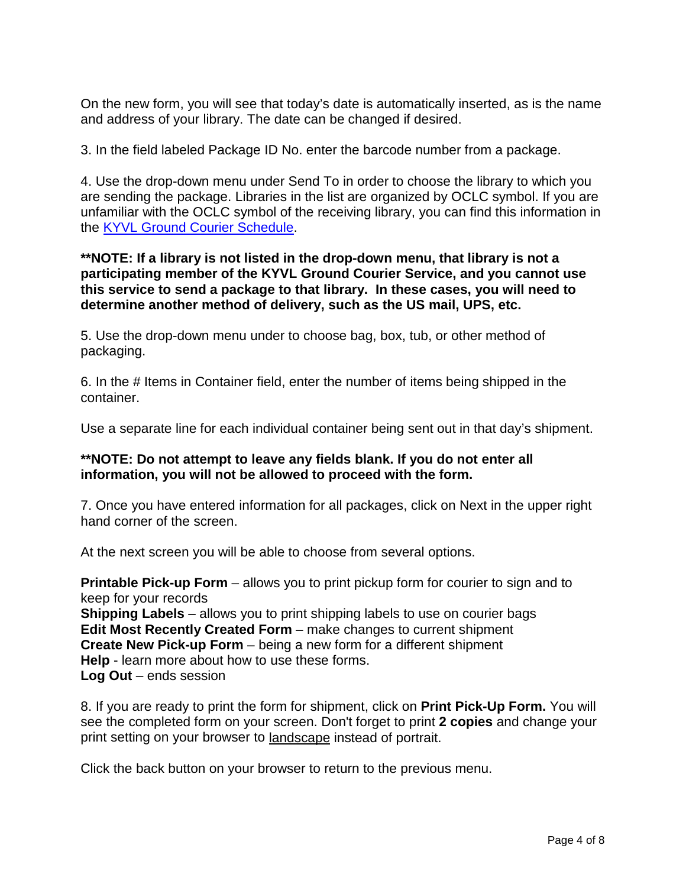On the new form, you will see that today's date is automatically inserted, as is the name and address of your library. The date can be changed if desired.

3. In the field labeled Package ID No. enter the barcode number from a package.

4. Use the drop-down menu under Send To in order to choose the library to which you are sending the package. Libraries in the list are organized by OCLC symbol. If you are unfamiliar with the OCLC symbol of the receiving library, you can find this information in the [KYVL Ground Courier Schedule.](http://www.kyvl.org/docs/Courier_Alpha.pdf)

#### **\*\*NOTE: If a library is not listed in the drop-down menu, that library is not a participating member of the KYVL Ground Courier Service, and you cannot use this service to send a package to that library. In these cases, you will need to determine another method of delivery, such as the US mail, UPS, etc.**

5. Use the drop-down menu under to choose bag, box, tub, or other method of packaging.

6. In the # Items in Container field, enter the number of items being shipped in the container.

Use a separate line for each individual container being sent out in that day's shipment.

#### **\*\*NOTE: Do not attempt to leave any fields blank. If you do not enter all information, you will not be allowed to proceed with the form.**

7. Once you have entered information for all packages, click on Next in the upper right hand corner of the screen.

At the next screen you will be able to choose from several options.

**Printable Pick-up Form** – allows you to print pickup form for courier to sign and to keep for your records **Shipping Labels** – allows you to print shipping labels to use on courier bags **Edit Most Recently Created Form** – make changes to current shipment **Create New Pick-up Form** – being a new form for a different shipment **Help** - learn more about how to use these forms.

**Log Out** – ends session

8. If you are ready to print the form for shipment, click on **Print Pick-Up Form.** You will see the completed form on your screen. Don't forget to print **2 copies** and change your print setting on your browser to [landscape](https://avenger.kyvu.org/kyvl/landscape.htm) instead of portrait.

Click the back button on your browser to return to the previous menu.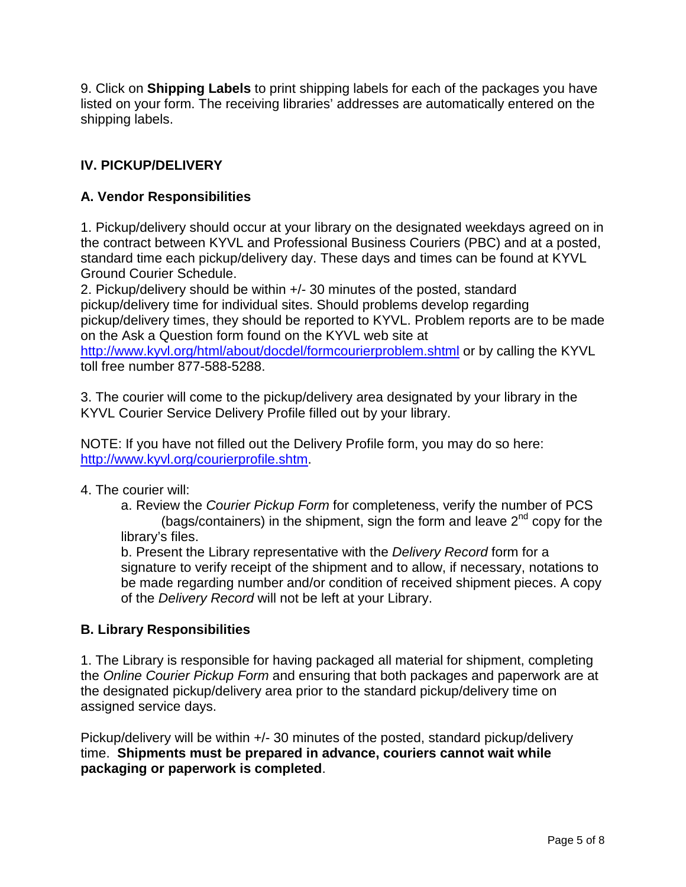9. Click on **Shipping Labels** to print shipping labels for each of the packages you have listed on your form. The receiving libraries' addresses are automatically entered on the shipping labels.

# **IV. PICKUP/DELIVERY**

## **A. Vendor Responsibilities**

1. Pickup/delivery should occur at your library on the designated weekdays agreed on in the contract between KYVL and Professional Business Couriers (PBC) and at a posted, standard time each pickup/delivery day. These days and times can be found at KYVL Ground Courier Schedule.

2. Pickup/delivery should be within +/- 30 minutes of the posted, standard pickup/delivery time for individual sites. Should problems develop regarding pickup/delivery times, they should be reported to KYVL. Problem reports are to be made on the Ask a Question form found on the KYVL web site at

<http://www.kyvl.org/html/about/docdel/formcourierproblem.shtml> or by calling the KYVL toll free number 877-588-5288.

3. The courier will come to the pickup/delivery area designated by your library in the KYVL Courier Service Delivery Profile filled out by your library.

NOTE: If you have not filled out the Delivery Profile form, you may do so here: [http://www.kyvl.org/courierprofile.shtm.](http://www.kyvl.org/courierprofile.shtm)

#### 4. The courier will:

a. Review the *Courier Pickup Form* for completeness, verify the number of PCS (bags/containers) in the shipment, sign the form and leave  $2<sup>nd</sup>$  copy for the library's files.

b. Present the Library representative with the *Delivery Record* form for a signature to verify receipt of the shipment and to allow, if necessary, notations to be made regarding number and/or condition of received shipment pieces. A copy of the *Delivery Record* will not be left at your Library.

#### **B. Library Responsibilities**

1. The Library is responsible for having packaged all material for shipment, completing the *Online Courier Pickup Form* and ensuring that both packages and paperwork are at the designated pickup/delivery area prior to the standard pickup/delivery time on assigned service days.

Pickup/delivery will be within +/- 30 minutes of the posted, standard pickup/delivery time. **Shipments must be prepared in advance, couriers cannot wait while packaging or paperwork is completed**.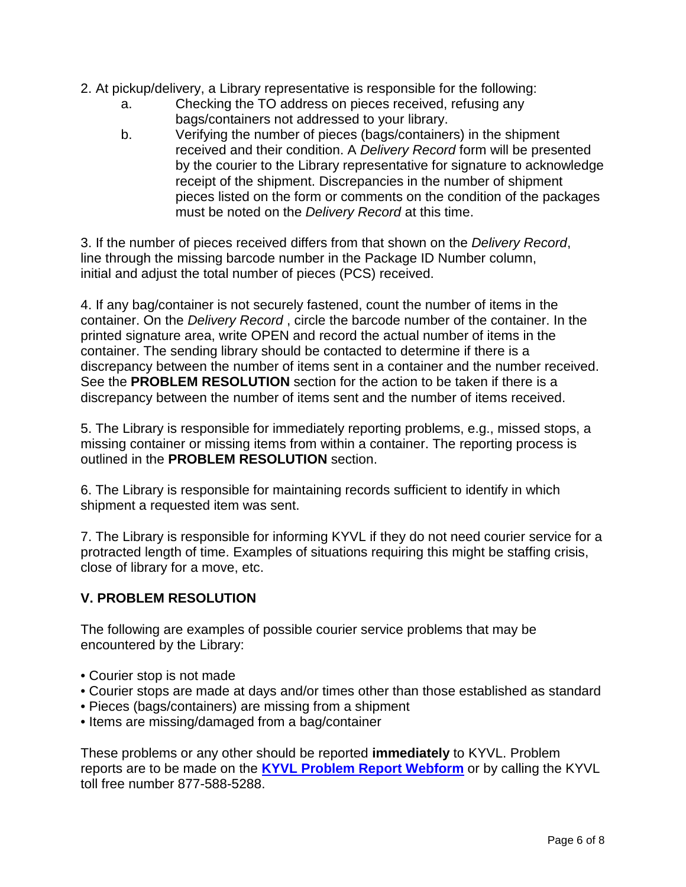- 2. At pickup/delivery, a Library representative is responsible for the following:
	- a. Checking the TO address on pieces received, refusing any bags/containers not addressed to your library.
	- b. Verifying the number of pieces (bags/containers) in the shipment received and their condition. A *Delivery Record* form will be presented by the courier to the Library representative for signature to acknowledge receipt of the shipment. Discrepancies in the number of shipment pieces listed on the form or comments on the condition of the packages must be noted on the *Delivery Record* at this time.

3. If the number of pieces received differs from that shown on the *Delivery Record*, line through the missing barcode number in the Package ID Number column, initial and adjust the total number of pieces (PCS) received.

4. If any bag/container is not securely fastened, count the number of items in the container. On the *Delivery Record* , circle the barcode number of the container. In the printed signature area, write OPEN and record the actual number of items in the container. The sending library should be contacted to determine if there is a discrepancy between the number of items sent in a container and the number received. See the **PROBLEM RESOLUTION** section for the action to be taken if there is a discrepancy between the number of items sent and the number of items received.

5. The Library is responsible for immediately reporting problems, e.g., missed stops, a missing container or missing items from within a container. The reporting process is outlined in the **PROBLEM RESOLUTION** section.

6. The Library is responsible for maintaining records sufficient to identify in which shipment a requested item was sent.

7. The Library is responsible for informing KYVL if they do not need courier service for a protracted length of time. Examples of situations requiring this might be staffing crisis, close of library for a move, etc.

# **V. PROBLEM RESOLUTION**

The following are examples of possible courier service problems that may be encountered by the Library:

- Courier stop is not made
- Courier stops are made at days and/or times other than those established as standard
- Pieces (bags/containers) are missing from a shipment
- Items are missing/damaged from a bag/container

These problems or any other should be reported **immediately** to KYVL. Problem reports are to be made on the **[KYVL Problem Report Webform](https://kyvl.custhelp.com/app/ask)** or by calling the KYVL toll free number 877-588-5288.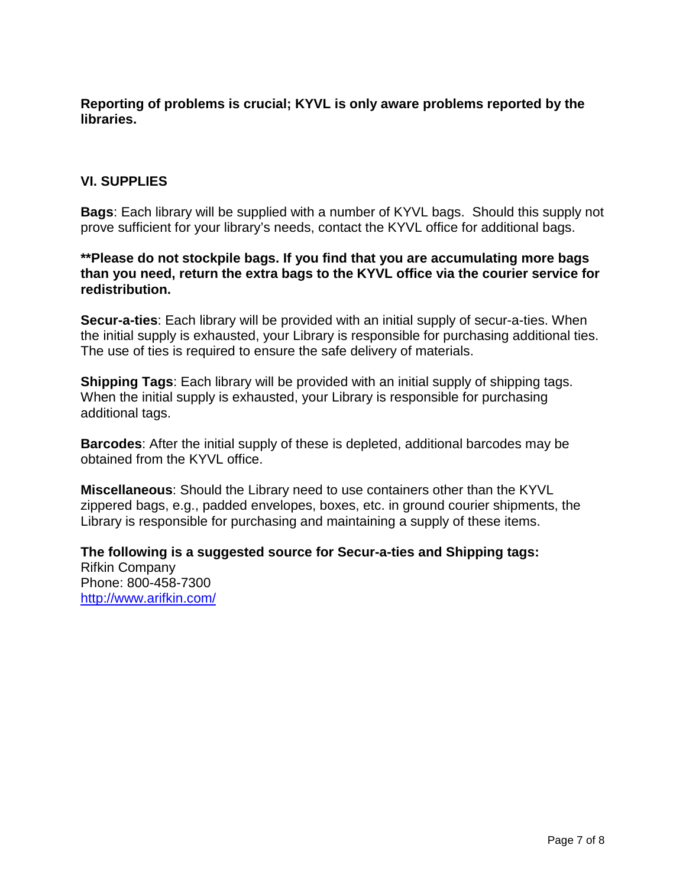**Reporting of problems is crucial; KYVL is only aware problems reported by the libraries.**

### **VI. SUPPLIES**

**Bags**: Each library will be supplied with a number of KYVL bags. Should this supply not prove sufficient for your library's needs, contact the KYVL office for additional bags.

#### **\*\*Please do not stockpile bags. If you find that you are accumulating more bags than you need, return the extra bags to the KYVL office via the courier service for redistribution.**

**Secur-a-ties**: Each library will be provided with an initial supply of secur-a-ties. When the initial supply is exhausted, your Library is responsible for purchasing additional ties. The use of ties is required to ensure the safe delivery of materials.

**Shipping Tags**: Each library will be provided with an initial supply of shipping tags. When the initial supply is exhausted, your Library is responsible for purchasing additional tags.

**Barcodes**: After the initial supply of these is depleted, additional barcodes may be obtained from the KYVL office.

**Miscellaneous**: Should the Library need to use containers other than the KYVL zippered bags, e.g., padded envelopes, boxes, etc. in ground courier shipments, the Library is responsible for purchasing and maintaining a supply of these items.

**The following is a suggested source for Secur-a-ties and Shipping tags:** Rifkin Company Phone: 800-458-7300 <http://www.arifkin.com/>